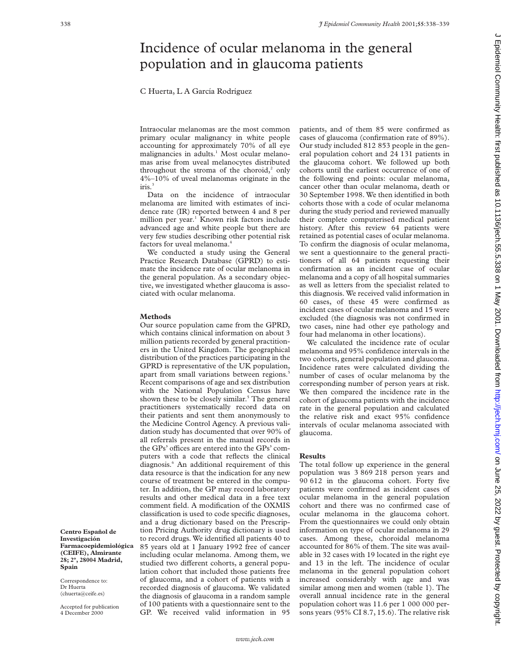## Incidence of ocular melanoma in the general population and in glaucoma patients

### C Huerta, L A García Rodríguez

Intraocular melanomas are the most common primary ocular malignancy in white people accounting for approximately 70% of all eye malignancies in adults.<sup>1</sup> Most ocular melanomas arise from uveal melanocytes distributed throughout the stroma of the choroid, $2$  only 4%–10% of uveal melanomas originate in the iris.3

Data on the incidence of intraocular melanoma are limited with estimates of incidence rate (IR) reported between 4 and 8 per million per year.<sup>1</sup> Known risk factors include advanced age and white people but there are very few studies describing other potential risk factors for uveal melanoma.<sup>4</sup>

We conducted a study using the General Practice Research Database (GPRD) to estimate the incidence rate of ocular melanoma in the general population. As a secondary objective, we investigated whether glaucoma is associated with ocular melanoma.

#### **Methods**

Our source population came from the GPRD, which contains clinical information on about 3 million patients recorded by general practitioners in the United Kingdom. The geographical distribution of the practices participating in the GPRD is representative of the UK population, apart from small variations between regions.<sup>5</sup> Recent comparisons of age and sex distribution with the National Population Census have shown these to be closely similar.<sup>5</sup> The general practitioners systematically record data on their patients and sent them anonymously to the Medicine Control Agency. A previous validation study has documented that over 90% of all referrals present in the manual records in the GPs' offices are entered into the GPs' computers with a code that reflects the clinical diagnosis.6 An additional requirement of this data resource is that the indication for any new course of treatment be entered in the computer. In addition, the GP may record laboratory results and other medical data in a free text comment field. A modification of the OXMIS classification is used to code specific diagnoses, and a drug dictionary based on the Prescription Pricing Authority drug dictionary is used to record drugs. We identified all patients 40 to 85 years old at 1 January 1992 free of cancer including ocular melanoma. Among them, we studied two different cohorts, a general population cohort that included those patients free of glaucoma, and a cohort of patients with a recorded diagnosis of glaucoma. We validated the diagnosis of glaucoma in a random sample of 100 patients with a questionnaire sent to the GP. We received valid information in 95

patients, and of them 85 were confirmed as cases of glaucoma (confirmation rate of 89%). Our study included 812 853 people in the general population cohort and 24 131 patients in the glaucoma cohort. We followed up both cohorts until the earliest occurrence of one of the following end points: ocular melanoma, cancer other than ocular melanoma, death or 30 September 1998. We then identified in both cohorts those with a code of ocular melanoma during the study period and reviewed manually their complete computerised medical patient history. After this review 64 patients were retained as potential cases of ocular melanoma. To confirm the diagnosis of ocular melanoma, we sent a questionnaire to the general practitioners of all 64 patients requesting their confirmation as an incident case of ocular melanoma and a copy of all hospital summaries as well as letters from the specialist related to this diagnosis. We received valid information in 60 cases, of these 45 were confirmed as incident cases of ocular melanoma and 15 were excluded (the diagnosis was not confirmed in two cases, nine had other eye pathology and four had melanoma in other locations).

We calculated the incidence rate of ocular melanoma and 95% confidence intervals in the two cohorts, general population and glaucoma. Incidence rates were calculated dividing the number of cases of ocular melanoma by the corresponding number of person years at risk. We then compared the incidence rate in the cohort of glaucoma patients with the incidence rate in the general population and calculated the relative risk and exact 95% confidence intervals of ocular melanoma associated with glaucoma.

#### **Results**

The total follow up experience in the general population was 3 869 218 person years and 90 612 in the glaucoma cohort. Forty five patients were confirmed as incident cases of ocular melanoma in the general population cohort and there was no confirmed case of ocular melanoma in the glaucoma cohort. From the questionnaires we could only obtain information on type of ocular melanoma in 29 cases. Among these, choroidal melanoma accounted for 86% of them. The site was available in 32 cases with 19 located in the right eye and 13 in the left. The incidence of ocular melanoma in the general population cohort increased considerably with age and was similar among men and women (table 1). The overall annual incidence rate in the general population cohort was 11.6 per 1 000 000 persons years (95% CI 8.7, 15.6). The relative risk

**Centro Español de Investigación Farmacoepidemiológica (CEIFE), Almirante 28; 2º, 28004 Madrid, Spain**

Correspondence to: Dr Huerta (chuerta@ceife.es)

Accepted for publication 4 December 2000